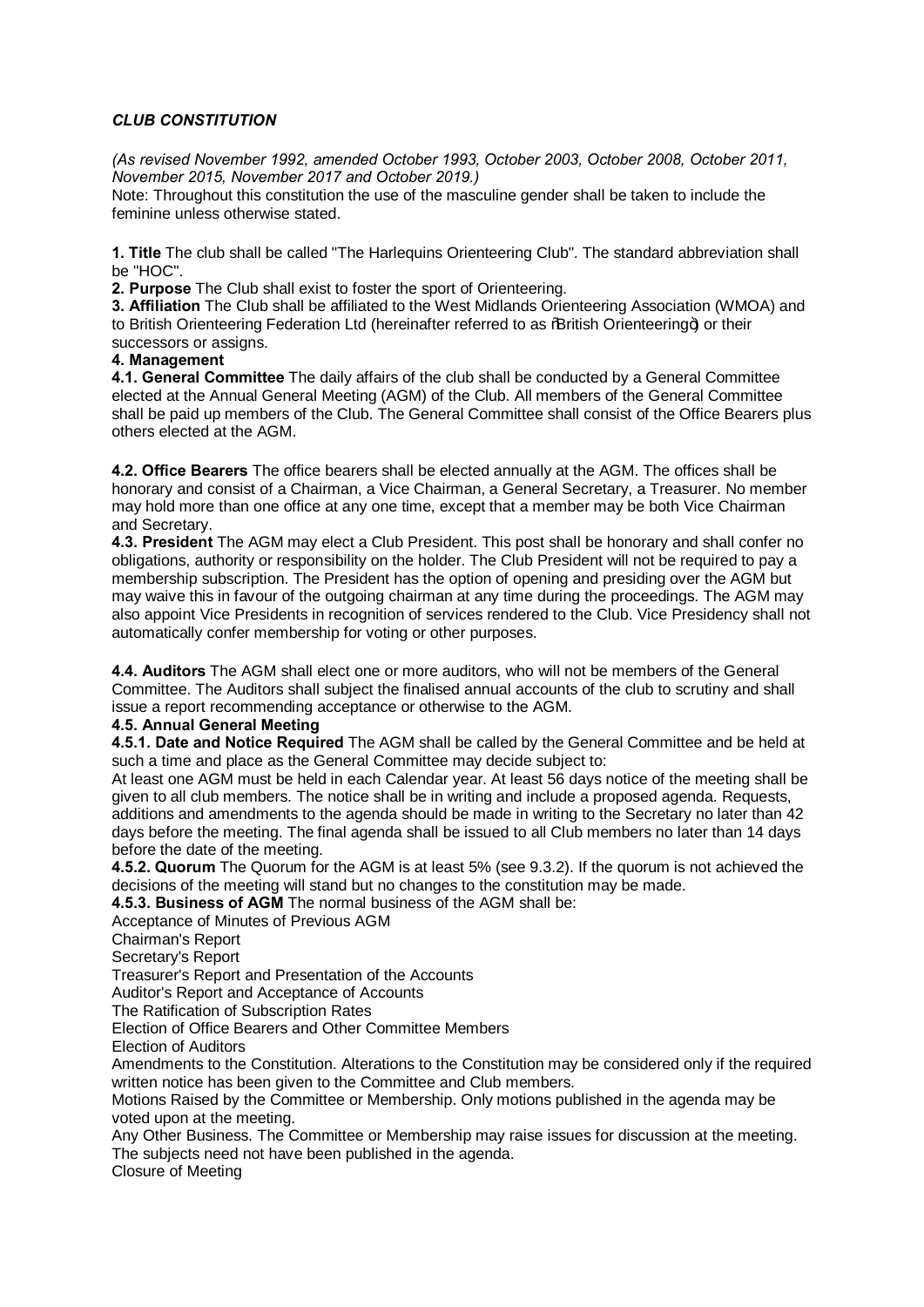# *CLUB CONSTITUTION*

*(As revised November 1992, amended October 1993, October 2003, October 2008, October 2011, November 2015, November 2017 and October 2019.)*

Note: Throughout this constitution the use of the masculine gender shall be taken to include the feminine unless otherwise stated.

**1. Title** The club shall be called "The Harlequins Orienteering Club". The standard abbreviation shall be "HOC".

**2. Purpose** The Club shall exist to foster the sport of Orienteering.

**3. Affiliation** The Club shall be affiliated to the West Midlands Orienteering Association (WMOA) and to British Orienteering Federation Ltd (hereinafter referred to as % British Orienteering+) or their successors or assigns.

#### **4. Management**

**4.1. General Committee** The daily affairs of the club shall be conducted by a General Committee elected at the Annual General Meeting (AGM) of the Club. All members of the General Committee shall be paid up members of the Club. The General Committee shall consist of the Office Bearers plus others elected at the AGM.

**4.2. Office Bearers** The office bearers shall be elected annually at the AGM. The offices shall be honorary and consist of a Chairman, a Vice Chairman, a General Secretary, a Treasurer. No member may hold more than one office at any one time, except that a member may be both Vice Chairman and Secretary.

**4.3. President** The AGM may elect a Club President. This post shall be honorary and shall confer no obligations, authority or responsibility on the holder. The Club President will not be required to pay a membership subscription. The President has the option of opening and presiding over the AGM but may waive this in favour of the outgoing chairman at any time during the proceedings. The AGM may also appoint Vice Presidents in recognition of services rendered to the Club. Vice Presidency shall not automatically confer membership for voting or other purposes.

**4.4. Auditors** The AGM shall elect one or more auditors, who will not be members of the General Committee. The Auditors shall subject the finalised annual accounts of the club to scrutiny and shall issue a report recommending acceptance or otherwise to the AGM.

#### **4.5. Annual General Meeting**

**4.5.1. Date and Notice Required** The AGM shall be called by the General Committee and be held at such a time and place as the General Committee may decide subject to:

At least one AGM must be held in each Calendar year. At least 56 days notice of the meeting shall be given to all club members. The notice shall be in writing and include a proposed agenda. Requests, additions and amendments to the agenda should be made in writing to the Secretary no later than 42 days before the meeting. The final agenda shall be issued to all Club members no later than 14 days before the date of the meeting.

**4.5.2. Quorum** The Quorum for the AGM is at least 5% (see 9.3.2). If the quorum is not achieved the decisions of the meeting will stand but no changes to the constitution may be made.

**4.5.3. Business of AGM** The normal business of the AGM shall be:

Acceptance of Minutes of Previous AGM

Chairman's Report

Secretary's Report

Treasurer's Report and Presentation of the Accounts

Auditor's Report and Acceptance of Accounts

The Ratification of Subscription Rates

Election of Office Bearers and Other Committee Members

Election of Auditors

Amendments to the Constitution. Alterations to the Constitution may be considered only if the required written notice has been given to the Committee and Club members.

Motions Raised by the Committee or Membership. Only motions published in the agenda may be voted upon at the meeting.

Any Other Business. The Committee or Membership may raise issues for discussion at the meeting. The subjects need not have been published in the agenda.

Closure of Meeting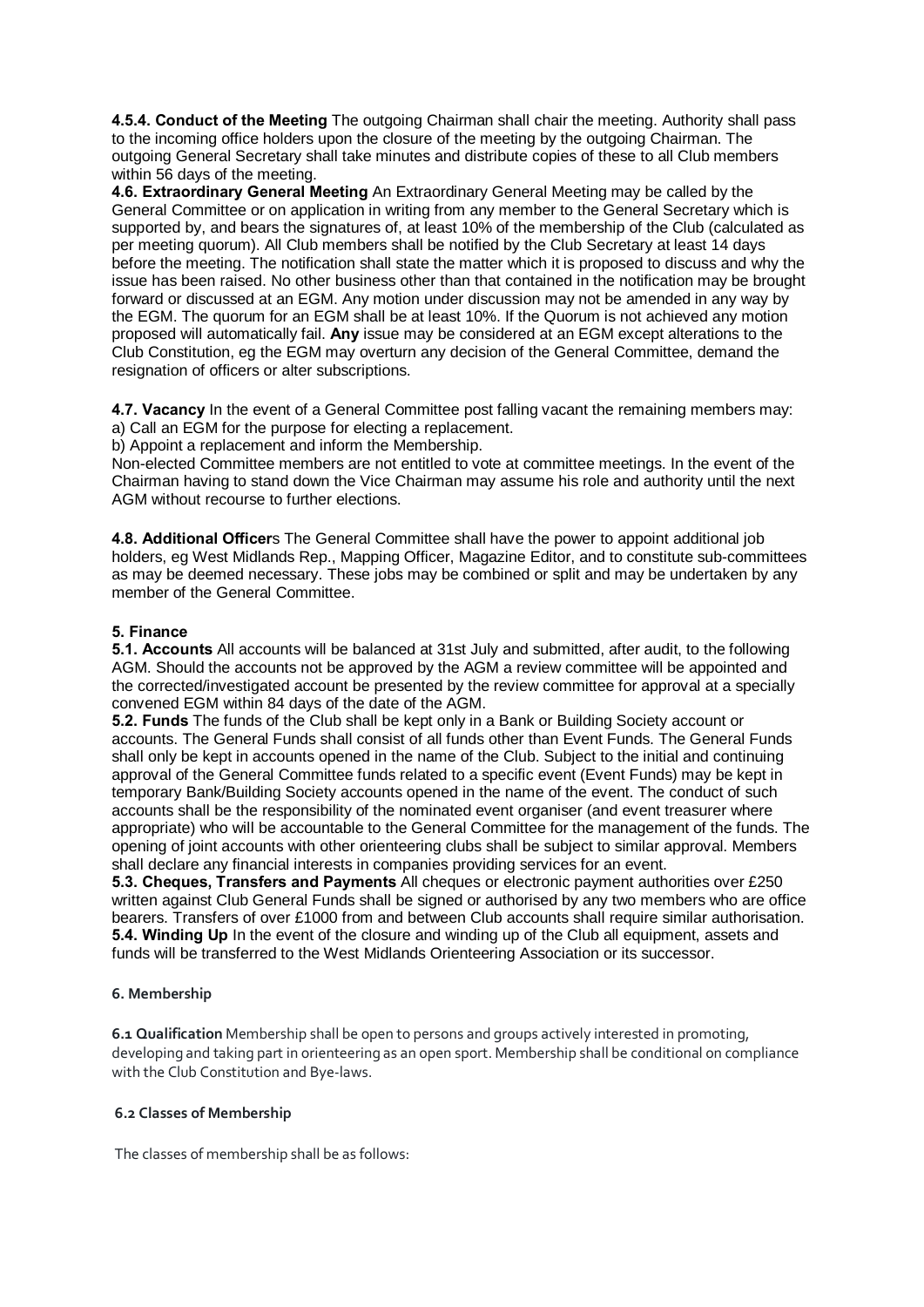**4.5.4. Conduct of the Meeting** The outgoing Chairman shall chair the meeting. Authority shall pass to the incoming office holders upon the closure of the meeting by the outgoing Chairman. The outgoing General Secretary shall take minutes and distribute copies of these to all Club members within 56 days of the meeting.

**4.6. Extraordinary General Meeting** An Extraordinary General Meeting may be called by the General Committee or on application in writing from any member to the General Secretary which is supported by, and bears the signatures of, at least 10% of the membership of the Club (calculated as per meeting quorum). All Club members shall be notified by the Club Secretary at least 14 days before the meeting. The notification shall state the matter which it is proposed to discuss and why the issue has been raised. No other business other than that contained in the notification may be brought forward or discussed at an EGM. Any motion under discussion may not be amended in any way by the EGM. The quorum for an EGM shall be at least 10%. If the Quorum is not achieved any motion proposed will automatically fail. **Any** issue may be considered at an EGM except alterations to the Club Constitution, eg the EGM may overturn any decision of the General Committee, demand the resignation of officers or alter subscriptions.

**4.7. Vacancy** In the event of a General Committee post falling vacant the remaining members may: a) Call an EGM for the purpose for electing a replacement.

b) Appoint a replacement and inform the Membership.

Non-elected Committee members are not entitled to vote at committee meetings. In the event of the Chairman having to stand down the Vice Chairman may assume his role and authority until the next AGM without recourse to further elections.

**4.8. Additional Officer**s The General Committee shall have the power to appoint additional job holders, eg West Midlands Rep., Mapping Officer, Magazine Editor, and to constitute sub-committees as may be deemed necessary. These jobs may be combined or split and may be undertaken by any member of the General Committee.

# **5. Finance**

**5.1. Accounts** All accounts will be balanced at 31st July and submitted, after audit, to the following AGM. Should the accounts not be approved by the AGM a review committee will be appointed and the corrected/investigated account be presented by the review committee for approval at a specially convened EGM within 84 days of the date of the AGM.

**5.2. Funds** The funds of the Club shall be kept only in a Bank or Building Society account or accounts. The General Funds shall consist of all funds other than Event Funds. The General Funds shall only be kept in accounts opened in the name of the Club. Subject to the initial and continuing approval of the General Committee funds related to a specific event (Event Funds) may be kept in temporary Bank/Building Society accounts opened in the name of the event. The conduct of such accounts shall be the responsibility of the nominated event organiser (and event treasurer where appropriate) who will be accountable to the General Committee for the management of the funds. The opening of joint accounts with other orienteering clubs shall be subject to similar approval. Members shall declare any financial interests in companies providing services for an event.

**5.3. Cheques, Transfers and Payments** All cheques or electronic payment authorities over £250 written against Club General Funds shall be signed or authorised by any two members who are office bearers. Transfers of over £1000 from and between Club accounts shall require similar authorisation. **5.4. Winding Up** In the event of the closure and winding up of the Club all equipment, assets and funds will be transferred to the West Midlands Orienteering Association or its successor.

# **6. Membership**

**6.1 Qualification** Membership shall be open to persons and groups actively interested in promoting, developing and taking part in orienteering as an open sport. Membership shall be conditional on compliance with the Club Constitution and Bye-laws.

# **6.2 Classes of Membership**

The classes of membership shall be as follows: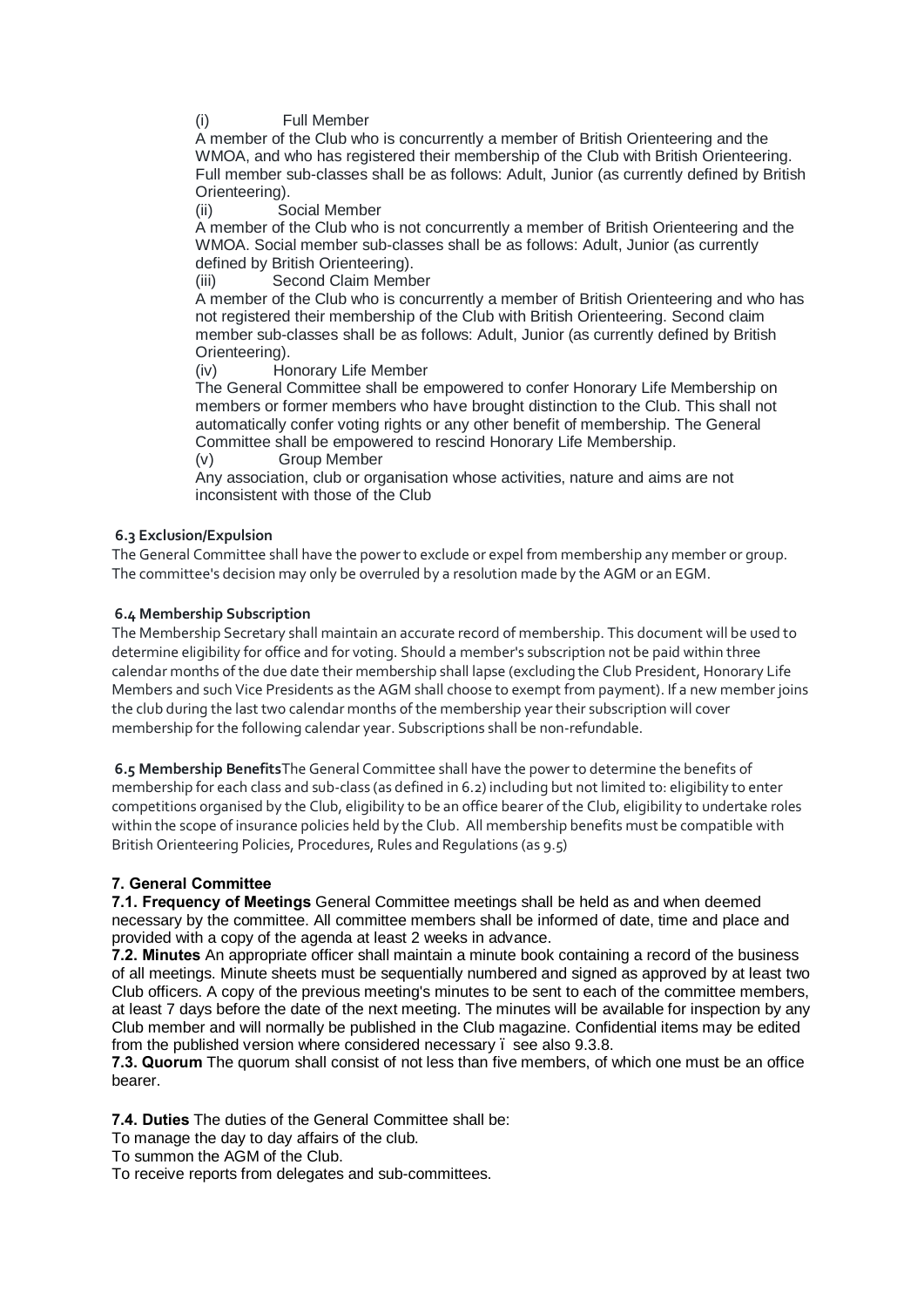# (i) Full Member

A member of the Club who is concurrently a member of British Orienteering and the WMOA, and who has registered their membership of the Club with British Orienteering. Full member sub-classes shall be as follows: Adult, Junior (as currently defined by British Orienteering).

(ii) Social Member

A member of the Club who is not concurrently a member of British Orienteering and the WMOA. Social member sub-classes shall be as follows: Adult, Junior (as currently defined by British Orienteering).

(iii) Second Claim Member

A member of the Club who is concurrently a member of British Orienteering and who has not registered their membership of the Club with British Orienteering. Second claim member sub-classes shall be as follows: Adult, Junior (as currently defined by British Orienteering).

(iv) Honorary Life Member

The General Committee shall be empowered to confer Honorary Life Membership on members or former members who have brought distinction to the Club. This shall not automatically confer voting rights or any other benefit of membership. The General Committee shall be empowered to rescind Honorary Life Membership.

(v) Group Member

Any association, club or organisation whose activities, nature and aims are not inconsistent with those of the Club

#### **6.3 Exclusion/Expulsion**

The General Committee shall have the power to exclude or expel from membership any member or group. The committee's decision may only be overruled by a resolution made by the AGM or an EGM.

# **6.4 Membership Subscription**

The Membership Secretary shall maintain an accurate record of membership. This document will be used to determine eligibility for office and for voting. Should a member's subscription not be paid within three calendar months of the due date their membership shall lapse (excluding the Club President, Honorary Life Members and such Vice Presidents as the AGM shall choose to exempt from payment). If a new member joins the club during the last two calendar months of the membership year their subscription will cover membership for the following calendar year. Subscriptions shall be non-refundable.

**6.5 Membership Benefits**The General Committee shall have the power to determine the benefits of membership for each class and sub-class (as defined in 6.2) including but not limited to: eligibility to enter competitions organised by the Club, eligibility to be an office bearer of the Club, eligibility to undertake roles within the scope of insurance policies held by the Club. All membership benefits must be compatible with British Orienteering Policies, Procedures, Rules and Regulations (as 9.5)

# **7. General Committee**

**7.1. Frequency of Meetings** General Committee meetings shall be held as and when deemed necessary by the committee. All committee members shall be informed of date, time and place and provided with a copy of the agenda at least 2 weeks in advance.

**7.2. Minutes** An appropriate officer shall maintain a minute book containing a record of the business of all meetings. Minute sheets must be sequentially numbered and signed as approved by at least two Club officers. A copy of the previous meeting's minutes to be sent to each of the committee members, at least 7 days before the date of the next meeting. The minutes will be available for inspection by any Club member and will normally be published in the Club magazine. Confidential items may be edited from the published version where considered necessary – see also 9.3.8.

**7.3. Quorum** The quorum shall consist of not less than five members, of which one must be an office bearer.

**7.4. Duties** The duties of the General Committee shall be:

To manage the day to day affairs of the club.

To summon the AGM of the Club.

To receive reports from delegates and sub-committees.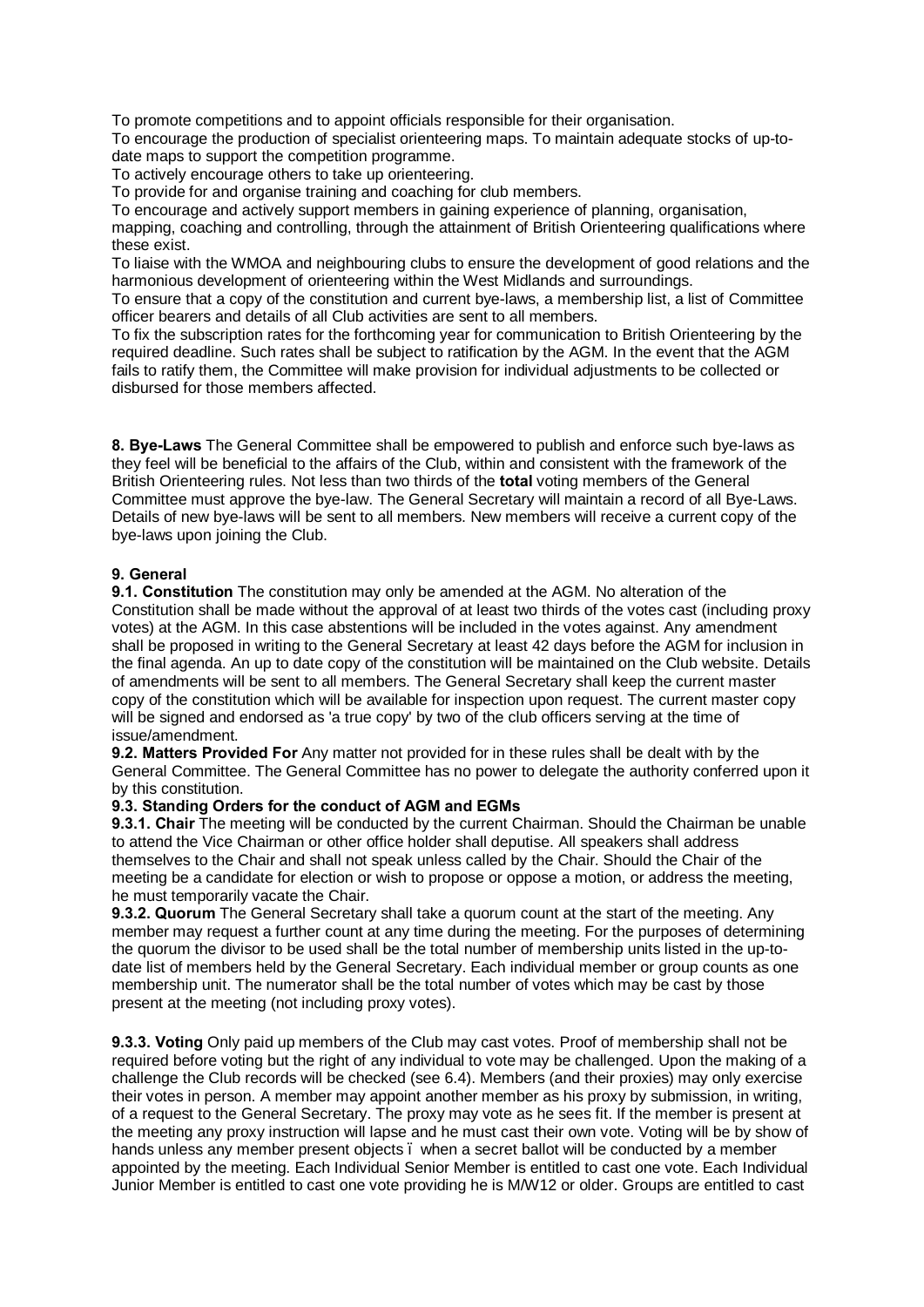To promote competitions and to appoint officials responsible for their organisation.

To encourage the production of specialist orienteering maps. To maintain adequate stocks of up-todate maps to support the competition programme.

To actively encourage others to take up orienteering.

To provide for and organise training and coaching for club members.

To encourage and actively support members in gaining experience of planning, organisation,

mapping, coaching and controlling, through the attainment of British Orienteering qualifications where these exist.

To liaise with the WMOA and neighbouring clubs to ensure the development of good relations and the harmonious development of orienteering within the West Midlands and surroundings.

To ensure that a copy of the constitution and current bye-laws, a membership list, a list of Committee officer bearers and details of all Club activities are sent to all members.

To fix the subscription rates for the forthcoming year for communication to British Orienteering by the required deadline. Such rates shall be subject to ratification by the AGM. In the event that the AGM fails to ratify them, the Committee will make provision for individual adjustments to be collected or disbursed for those members affected.

**8. Bye-Laws** The General Committee shall be empowered to publish and enforce such bye-laws as they feel will be beneficial to the affairs of the Club, within and consistent with the framework of the British Orienteering rules. Not less than two thirds of the **total** voting members of the General Committee must approve the bye-law. The General Secretary will maintain a record of all Bye-Laws. Details of new bye-laws will be sent to all members. New members will receive a current copy of the bye-laws upon joining the Club.

# **9. General**

**9.1. Constitution** The constitution may only be amended at the AGM. No alteration of the Constitution shall be made without the approval of at least two thirds of the votes cast (including proxy votes) at the AGM. In this case abstentions will be included in the votes against. Any amendment shall be proposed in writing to the General Secretary at least 42 days before the AGM for inclusion in the final agenda. An up to date copy of the constitution will be maintained on the Club website. Details of amendments will be sent to all members. The General Secretary shall keep the current master copy of the constitution which will be available for inspection upon request. The current master copy will be signed and endorsed as 'a true copy' by two of the club officers serving at the time of issue/amendment.

**9.2. Matters Provided For** Any matter not provided for in these rules shall be dealt with by the General Committee. The General Committee has no power to delegate the authority conferred upon it by this constitution.

# **9.3. Standing Orders for the conduct of AGM and EGMs**

**9.3.1. Chair** The meeting will be conducted by the current Chairman. Should the Chairman be unable to attend the Vice Chairman or other office holder shall deputise. All speakers shall address themselves to the Chair and shall not speak unless called by the Chair. Should the Chair of the meeting be a candidate for election or wish to propose or oppose a motion, or address the meeting, he must temporarily vacate the Chair.

**9.3.2. Quorum** The General Secretary shall take a quorum count at the start of the meeting. Any member may request a further count at any time during the meeting. For the purposes of determining the quorum the divisor to be used shall be the total number of membership units listed in the up-todate list of members held by the General Secretary. Each individual member or group counts as one membership unit. The numerator shall be the total number of votes which may be cast by those present at the meeting (not including proxy votes).

**9.3.3. Voting** Only paid up members of the Club may cast votes. Proof of membership shall not be required before voting but the right of any individual to vote may be challenged. Upon the making of a challenge the Club records will be checked (see 6.4). Members (and their proxies) may only exercise their votes in person. A member may appoint another member as his proxy by submission, in writing, of a request to the General Secretary. The proxy may vote as he sees fit. If the member is present at the meeting any proxy instruction will lapse and he must cast their own vote. Voting will be by show of hands unless any member present objects – when a secret ballot will be conducted by a member appointed by the meeting. Each Individual Senior Member is entitled to cast one vote. Each Individual Junior Member is entitled to cast one vote providing he is M/W12 or older. Groups are entitled to cast